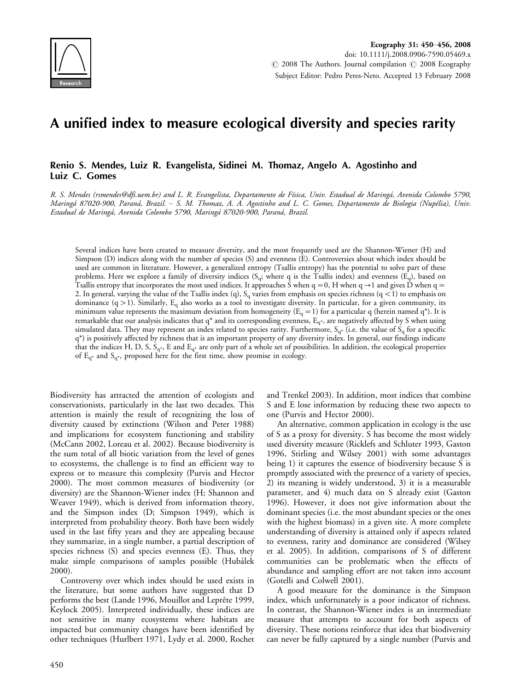

# A unified index to measure ecological diversity and species rarity

### Renio S. Mendes, Luiz R. Evangelista, Sidinei M. Thomaz, Angelo A. Agostinho and Luiz C. Gomes

R. S. Mendes (rsmendes@dfi.uem.br) and L. R. Evangelista, Departamento de Física, Univ. Estadual de Maringá, Avenida Colombo 5790, Maringá 87020-900, Paraná, Brazil. – S. M. Thomaz, A. A. Agostinho and L. C. Gomes, Departamento de Biologia (Nupélia), Univ. Estadual de Maringá, Avenida Colombo 5790, Maringá 87020-900, Paraná, Brazil.

Several indices have been created to measure diversity, and the most frequently used are the Shannon-Wiener (H) and Simpson (D) indices along with the number of species (S) and evenness (E). Controversies about which index should be used are common in literature. However, a generalized entropy (Tsallis entropy) has the potential to solve part of these problems. Here we explore a family of diversity indices  $(S_q;$  where q is the Tsallis index) and evenness  $(E_q)$ , based on Tsallis entropy that incorporates the most used indices. It approaches S when q = 0, H when q  $\rightarrow$  1 and gives D when q = 2. In general, varying the value of the Tsallis index (q),  $S_q$  varies from emphasis on species richness (q < 1) to emphasis on dominance (q > 1). Similarly,  $E_q$  also works as a tool to investigate diversity. In particular, for a given community, its minimum value represents the maximum deviation from homogeneity ( $E_q = 1$ ) for a particular q (herein named q<sup>\*</sup>). It is remarkable that our analysis indicates that  $q^*$  and its corresponding evenness,  $E_{q^*}$ , are negatively affected by S when using simulated data. They may represent an index related to species rarity. Furthermore,  $S_{q*}$  (i.e. the value of  $S_q$  for a specific q\*) is positively affected by richness that is an important property of any diversity index. In general, our findings indicate that the indices H, D, S,  $S_{q^*}$ , E and  $E_{q^*}$  are only part of a whole set of possibilities. In addition, the ecological properties of  $E_{q^*}$  and  $S_{q^*}$ , proposed here for the first time, show promise in ecology.

Biodiversity has attracted the attention of ecologists and conservationists, particularly in the last two decades. This attention is mainly the result of recognizing the loss of diversity caused by extinctions (Wilson and Peter 1988) and implications for ecosystem functioning and stability (McCann 2002, Loreau et al. 2002). Because biodiversity is the sum total of all biotic variation from the level of genes to ecosystems, the challenge is to find an efficient way to express or to measure this complexity (Purvis and Hector 2000). The most common measures of biodiversity (or diversity) are the Shannon-Wiener index (H; Shannon and Weaver 1949), which is derived from information theory, and the Simpson index (D; Simpson 1949), which is interpreted from probability theory. Both have been widely used in the last fifty years and they are appealing because they summarize, in a single number, a partial description of species richness (S) and species evenness (E). Thus, they make simple comparisons of samples possible (Hubálek 2000).

Controversy over which index should be used exists in the literature, but some authors have suggested that D performs the best (Lande 1996, Mouillot and Leprête 1999, Keylock 2005). Interpreted individually, these indices are not sensitive in many ecosystems where habitats are impacted but community changes have been identified by other techniques (Hurlbert 1971, Lydy et al. 2000, Rochet and Trenkel 2003). In addition, most indices that combine S and E lose information by reducing these two aspects to one (Purvis and Hector 2000).

An alternative, common application in ecology is the use of S as a proxy for diversity. S has become the most widely used diversity measure (Ricklefs and Schluter 1993, Gaston 1996, Stirling and Wilsey 2001) with some advantages being 1) it captures the essence of biodiversity because S is promptly associated with the presence of a variety of species, 2) its meaning is widely understood, 3) it is a measurable parameter, and 4) much data on S already exist (Gaston 1996). However, it does not give information about the dominant species (i.e. the most abundant species or the ones with the highest biomass) in a given site. A more complete understanding of diversity is attained only if aspects related to evenness, rarity and dominance are considered (Wilsey et al. 2005). In addition, comparisons of S of different communities can be problematic when the effects of abundance and sampling effort are not taken into account (Gotelli and Colwell 2001).

A good measure for the dominance is the Simpson index, which unfortunately is a poor indicator of richness. In contrast, the Shannon-Wiener index is an intermediate measure that attempts to account for both aspects of diversity. These notions reinforce that idea that biodiversity can never be fully captured by a single number (Purvis and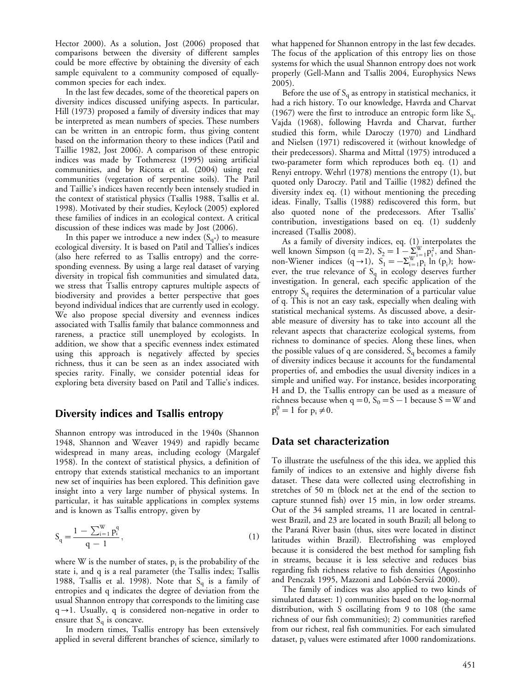Hector 2000). As a solution, Jost (2006) proposed that comparisons between the diversity of different samples could be more effective by obtaining the diversity of each sample equivalent to a community composed of equallycommon species for each index.

In the last few decades, some of the theoretical papers on diversity indices discussed unifying aspects. In particular, Hill (1973) proposed a family of diversity indices that may be interpreted as mean numbers of species. These numbers can be written in an entropic form, thus giving content based on the information theory to these indices (Patil and Taillie 1982, Jost 2006). A comparison of these entropic indices was made by Tothmeresz (1995) using artificial communities, and by Ricotta et al. (2004) using real communities (vegetation of serpentine soils). The Patil and Taillie's indices haven recently been intensely studied in the context of statistical physics (Tsallis 1988, Tsallis et al. 1998). Motivated by their studies, Keylock (2005) explored these families of indices in an ecological context. A critical discussion of these indices was made by Jost (2006).

In this paper we introduce a new index  $(S_{q*})$  to measure ecological diversity. It is based on Patil and Tallies's indices (also here referred to as Tsallis entropy) and the corresponding evenness. By using a large real dataset of varying diversity in tropical fish communities and simulated data, we stress that Tsallis entropy captures multiple aspects of biodiversity and provides a better perspective that goes beyond individual indices that are currently used in ecology. We also propose special diversity and evenness indices associated with Tsallis family that balance commonness and rareness, a practice still unemployed by ecologists. In addition, we show that a specific evenness index estimated using this approach is negatively affected by species richness, thus it can be seen as an index associated with species rarity. Finally, we consider potential ideas for exploring beta diversity based on Patil and Tallie's indices.

## Diversity indices and Tsallis entropy

Shannon entropy was introduced in the 1940s (Shannon 1948, Shannon and Weaver 1949) and rapidly became widespread in many areas, including ecology (Margalef 1958). In the context of statistical physics, a definition of entropy that extends statistical mechanics to an important new set of inquiries has been explored. This definition gave insight into a very large number of physical systems. In particular, it has suitable applications in complex systems and is known as Tsallis entropy, given by

$$
S_q = \frac{1 - \sum_{i=1}^{W} p_i^q}{q - 1},
$$
\n(1)

where W is the number of states,  $p_i$  is the probability of the state i, and q is a real parameter (the Tsallis index; Tsallis 1988, Tsallis et al. 1998). Note that  $S_q$  is a family of entropies and q indicates the degree of deviation from the usual Shannon entropy that corresponds to the limiting case  $q\rightarrow1$ . Usually, q is considered non-negative in order to ensure that  $S<sub>q</sub>$  is concave.

In modern times, Tsallis entropy has been extensively applied in several different branches of science, similarly to what happened for Shannon entropy in the last few decades. The focus of the application of this entropy lies on those systems for which the usual Shannon entropy does not work properly (Gell-Mann and Tsallis 2004, Europhysics News 2005).

Before the use of  $S_q$  as entropy in statistical mechanics, it had a rich history. To our knowledge, Havrda and Charvat (1967) were the first to introduce an entropic form like  $S_q$ . Vajda (1968), following Havrda and Charvat, further studied this form, while Daroczy (1970) and Lindhard and Nielsen (1971) rediscovered it (without knowledge of their predecessors). Sharma and Mittal (1975) introduced a two-parameter form which reproduces both eq. (1) and Renyi entropy. Wehrl (1978) mentions the entropy (1), but quoted only Daroczy. Patil and Taillie (1982) defined the diversity index eq. (1) without mentioning the preceding ideas. Finally, Tsallis (1988) rediscovered this form, but also quoted none of the predecessors. After Tsallis' contribution, investigations based on eq. (1) suddenly increased (Tsallis 2008).

As a family of diversity indices, eq. (1) interpolates the well known Simpson (q = 2),  $S_2 = 1 - \sum_{w=1}^{W} p_i^2$ , and Shannon-Wiener indices  $(q \rightarrow 1)$ ,  $S_1 = -\sum_{i=1}^{W} p_i \ln (p_i)$ ; however, the true relevance of  $S_q$  in ecology deserves further investigation. In general, each specific application of the entropy  $S_q$  requires the determination of a particular value of q. This is not an easy task, especially when dealing with statistical mechanical systems. As discussed above, a desirable measure of diversity has to take into account all the relevant aspects that characterize ecological systems, from richness to dominance of species. Along these lines, when the possible values of q are considered,  $S_q$  becomes a family of diversity indices because it accounts for the fundamental properties of, and embodies the usual diversity indices in a simple and unified way. For instance, besides incorporating H and D, the Tsallis entropy can be used as a measure of richness because when  $q = 0$ ,  $S_0 = S - 1$  because  $S = W$  and  $p_i^0 = 1$  for  $p_i \neq 0$ .

# Data set characterization

To illustrate the usefulness of the this idea, we applied this family of indices to an extensive and highly diverse fish dataset. These data were collected using electrofishing in stretches of 50 m (block net at the end of the section to capture stunned fish) over 15 min, in low order streams. Out of the 34 sampled streams, 11 are located in centralwest Brazil, and 23 are located in south Brazil; all belong to the Paraná River basin (thus, sites were located in distinct latitudes within Brazil). Electrofishing was employed because it is considered the best method for sampling fish in streams, because it is less selective and reduces bias regarding fish richness relative to fish densities (Agostinho and Penczak 1995, Mazzoni and Lobón-Serviá 2000).

The family of indices was also applied to two kinds of simulated dataset: 1) communities based on the log-normal distribution, with S oscillating from 9 to 108 (the same richness of our fish communities); 2) communities rarefied from our richest, real fish communities. For each simulated dataset, p<sub>i</sub> values were estimated after 1000 randomizations.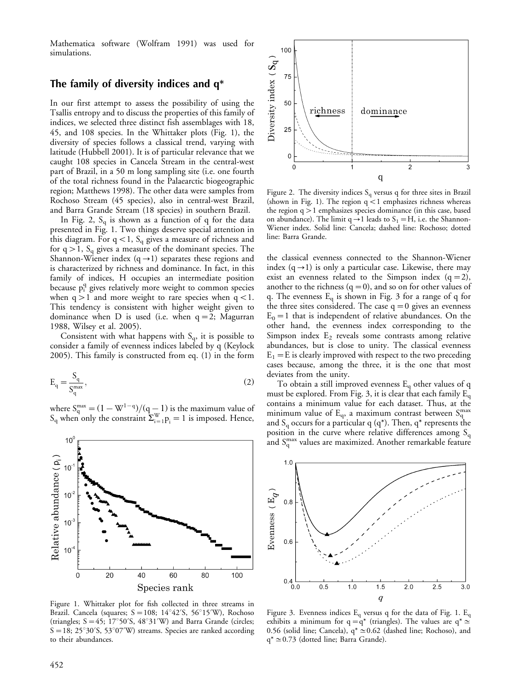Mathematica software (Wolfram 1991) was used for simulations.

# The family of diversity indices and q\*

In our first attempt to assess the possibility of using the Tsallis entropy and to discuss the properties of this family of indices, we selected three distinct fish assemblages with 18, 45, and 108 species. In the Whittaker plots (Fig. 1), the diversity of species follows a classical trend, varying with latitude (Hubbell 2001). It is of particular relevance that we caught 108 species in Cancela Stream in the central-west part of Brazil, in a 50 m long sampling site (i.e. one fourth of the total richness found in the Palaearctic biogeographic region; Matthews 1998). The other data were samples from Rochoso Stream (45 species), also in central-west Brazil, and Barra Grande Stream (18 species) in southern Brazil.

In Fig. 2,  $S_q$  is shown as a function of q for the data presented in Fig. 1. Two things deserve special attention in this diagram. For  $q<1$ ,  $S_q$  gives a measure of richness and for  $q > 1$ ,  $S_q$  gives a measure of the dominant species. The Shannon-Wiener index  $(q\rightarrow1)$  separates these regions and is characterized by richness and dominance. In fact, in this family of indices, H occupies an intermediate position because p<sup>q</sup> gives relatively more weight to common species when  $q > 1$  and more weight to rare species when  $q < 1$ . This tendency is consistent with higher weight given to dominance when  $D$  is used (i.e. when  $q = 2$ ; Magurran 1988, Wilsey et al. 2005).

Consistent with what happens with  $S_q$ , it is possible to consider a family of evenness indices labeled by q (Keylock 2005). This family is constructed from eq. (1) in the form

$$
E_q = \frac{S_q}{S_q^{\max}},\tag{2}
$$

where  $S_q^{\text{max}} = (1 - W^{1-q})/(q-1)$  is the maximum value of  $S_q$  when only the constraint  $\sum_{i=1}^{W} p_i = 1$  is imposed. Hence,



Figure 1. Whittaker plot for fish collected in three streams in Brazil. Cancela (squares;  $S = 108$ ;  $14^{\circ}42'$ S,  $56^{\circ}15'$ W), Rochoso (triangles;  $S = 45$ ; 17°50′S, 48°31′W) and Barra Grande (circles;  $S = 18$ ; 25°30′S, 53°07′W) streams. Species are ranked according to their abundances.



Figure 2. The diversity indices  $S_q$  versus q for three sites in Brazil (shown in Fig. 1). The region  $q < 1$  emphasizes richness whereas the region q-1 emphasizes species dominance (in this case, based on abundance). The limit  $q \rightarrow 1$  leads to  $S_1 = H$ , i.e. the Shannon-Wiener index. Solid line: Cancela; dashed line: Rochoso; dotted line: Barra Grande.

the classical evenness connected to the Shannon-Wiener index  $(q\rightarrow1)$  is only a particular case. Likewise, there may exist an evenness related to the Simpson index  $(q = 2)$ , another to the richness  $(q = 0)$ , and so on for other values of q. The evenness  $E_q$  is shown in Fig. 3 for a range of q for the three sites considered. The case  $q = 0$  gives an evenness  $E_0 = 1$  that is independent of relative abundances. On the other hand, the evenness index corresponding to the Simpson index  $E_2$  reveals some contrasts among relative abundances, but is close to unity. The classical evenness  $E_1 = E$  is clearly improved with respect to the two preceding cases because, among the three, it is the one that most deviates from the unity.

To obtain a still improved evenness  $E_q$  other values of q must be explored. From Fig. 3, it is clear that each family  $E_q$ contains a minimum value for each dataset. Thus, at the minimum value of  $E_q$ , a maximum contrast between  $S_q^{\text{max}}$ and  $S_q$  occurs for a particular q (q<sup>\*</sup>). Then, q<sup>\*</sup> represents the position in the curve where relative differences among  $S_q$ and  $S_q^{\text{max}}$  values are maximized. Another remarkable feature



Figure 3. Evenness indices  $E_q$  versus q for the data of Fig. 1.  $E_q$ exhibits a minimum for  $q = q^*$  (triangles). The values are  $q^* \approx$ 0.56 (solid line; Cancela),  $q^* \approx 0.62$  (dashed line; Rochoso), and  $q^* \approx 0.73$  (dotted line; Barra Grande).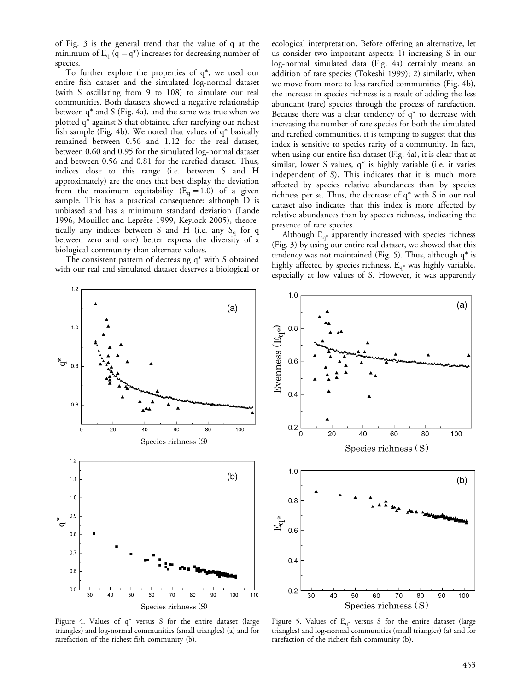of Fig. 3 is the general trend that the value of q at the minimum of  $E_q$  (q = q<sup>\*</sup>) increases for decreasing number of species.

To further explore the properties of  $q^*$ , we used our entire fish dataset and the simulated log-normal dataset (with S oscillating from 9 to 108) to simulate our real communities. Both datasets showed a negative relationship between q\* and S (Fig. 4a), and the same was true when we plotted q\* against S that obtained after rarefying our richest fish sample (Fig. 4b). We noted that values of q\* basically remained between 0.56 and 1.12 for the real dataset, between 0.60 and 0.95 for the simulated log-normal dataset and between 0.56 and 0.81 for the rarefied dataset. Thus, indices close to this range (i.e. between S and H approximately) are the ones that best display the deviation from the maximum equitability ( $E_q = 1.0$ ) of a given sample. This has a practical consequence: although D is unbiased and has a minimum standard deviation (Lande 1996, Mouillot and Leprête 1999, Keylock 2005), theoretically any indices between S and H (i.e. any  $S_q$  for q between zero and one) better express the diversity of a biological community than alternate values.

The consistent pattern of decreasing q\* with S obtained with our real and simulated dataset deserves a biological or ecological interpretation. Before offering an alternative, let us consider two important aspects: 1) increasing S in our log-normal simulated data (Fig. 4a) certainly means an addition of rare species (Tokeshi 1999); 2) similarly, when we move from more to less rarefied communities (Fig. 4b), the increase in species richness is a result of adding the less abundant (rare) species through the process of rarefaction. Because there was a clear tendency of q\* to decrease with increasing the number of rare species for both the simulated and rarefied communities, it is tempting to suggest that this index is sensitive to species rarity of a community. In fact, when using our entire fish dataset (Fig. 4a), it is clear that at similar, lower S values,  $q^*$  is highly variable (i.e. it varies independent of S). This indicates that it is much more affected by species relative abundances than by species richness per se. Thus, the decrease of q\* with S in our real dataset also indicates that this index is more affected by relative abundances than by species richness, indicating the presence of rare species.

Although  $E_{q^*}$  apparently increased with species richness (Fig. 3) by using our entire real dataset, we showed that this tendency was not maintained (Fig. 5). Thus, although  $q^*$  is highly affected by species richness,  $E_{q*}$  was highly variable, especially at low values of S. However, it was apparently





Figure 4. Values of q\* versus S for the entire dataset (large triangles) and log-normal communities (small triangles) (a) and for rarefaction of the richest fish community (b).

Figure 5. Values of  $E_{q^*}$  versus S for the entire dataset (large triangles) and log-normal communities (small triangles) (a) and for rarefaction of the richest fish community (b).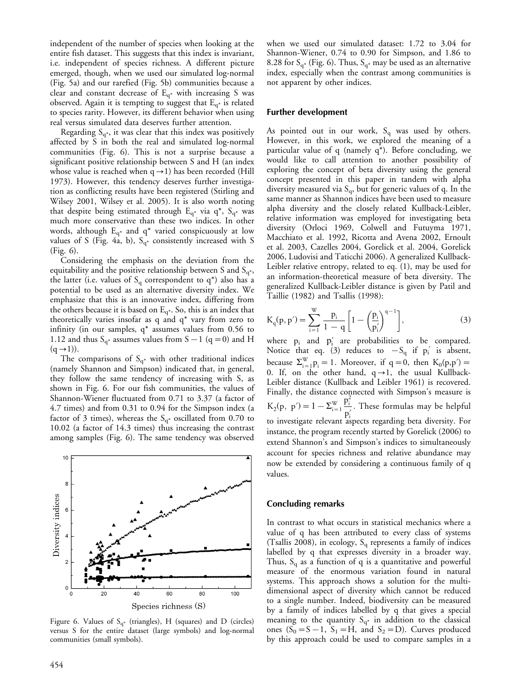independent of the number of species when looking at the entire fish dataset. This suggests that this index is invariant, i.e. independent of species richness. A different picture emerged, though, when we used our simulated log-normal (Fig. 5a) and our rarefied (Fig. 5b) communities because a clear and constant decrease of  $E_{q^*}$  with increasing S was observed. Again it is tempting to suggest that  $E_{q*}$  is related to species rarity. However, its different behavior when using real versus simulated data deserves further attention.

Regarding  $S_{q*}$ , it was clear that this index was positively affected by S in both the real and simulated log-normal communities (Fig. 6). This is not a surprise because a significant positive relationship between S and H (an index whose value is reached when  $q\rightarrow1$ ) has been recorded (Hill 1973). However, this tendency deserves further investigation as conflicting results have been registered (Stirling and Wilsey 2001, Wilsey et al. 2005). It is also worth noting that despite being estimated through  $E_{q^*}$  via  $q^*$ ,  $S_{q^*}$  was much more conservative than these two indices. In other words, although  $E_{q^*}$  and  $q^*$  varied conspicuously at low values of S (Fig. 4a, b),  $S_{q^*}$  consistently increased with S (Fig. 6).

Considering the emphasis on the deviation from the equitability and the positive relationship between S and  $S_{q^*}$ , the latter (i.e. values of  $S_q$  correspondent to  $q^*$ ) also has a potential to be used as an alternative diversity index. We emphasize that this is an innovative index, differing from the others because it is based on  $E_{q^*}$ . So, this is an index that theoretically varies insofar as q and q\* vary from zero to infinity (in our samples, q\* assumes values from 0.56 to 1.12 and thus  $S_{q^*}$  assumes values from  $S-1$  (q = 0) and H  $(q\rightarrow 1)$ ).

The comparisons of  $S_{q^*}$  with other traditional indices (namely Shannon and Simpson) indicated that, in general, they follow the same tendency of increasing with S, as shown in Fig. 6. For our fish communities, the values of Shannon-Wiener fluctuated from 0.71 to 3.37 (a factor of 4.7 times) and from 0.31 to 0.94 for the Simpson index (a factor of 3 times), whereas the  $S_{q*}$  oscillated from 0.70 to 10.02 (a factor of 14.3 times) thus increasing the contrast among samples (Fig. 6). The same tendency was observed



Figure 6. Values of  $S_{q^*}$  (triangles), H (squares) and D (circles) versus S for the entire dataset (large symbols) and log-normal communities (small symbols).

when we used our simulated dataset: 1.72 to 3.04 for Shannon-Wiener, 0.74 to 0.90 for Simpson, and 1.86 to 8.28 for  $S_{q^*}$  (Fig. 6). Thus,  $S_{q^*}$  may be used as an alternative index, especially when the contrast among communities is not apparent by other indices.

#### Further development

As pointed out in our work,  $S_q$  was used by others. However, in this work, we explored the meaning of a particular value of q (namely q\*). Before concluding, we would like to call attention to another possibility of exploring the concept of beta diversity using the general concept presented in this paper in tandem with alpha diversity measured via  $S_q$ , but for generic values of q. In the same manner as Shannon indices have been used to measure alpha diversity and the closely related Kullback-Leibler, relative information was employed for investigating beta diversity (Orloci 1969, Colwell and Futuyma 1971, Macchiato et al. 1992, Ricotta and Avena 2002, Ernoult et al. 2003, Cazelles 2004, Gorelick et al. 2004, Gorelick 2006, Ludovisi and Taticchi 2006). A generalized Kullback-Leibler relative entropy, related to eq. (1), may be used for an information-theoretical measure of beta diversity. The generalized Kullback-Leibler distance is given by Patil and Taillie (1982) and Tsallis (1998):

$$
K_q(p, p') = \sum_{i=1}^{W} \frac{p_i}{1 - q} \left[ 1 - \left(\frac{p_i}{p'_i}\right)^{q-1} \right],
$$
 (3)

where  $p_i$  and  $p'_i$  are probabilities to be compared. Notice that eq. (3) reduces to  $-S_q$  if  $p'_i$  is absent, because  $\Sigma_{i=1}^{W}$   $p_i = 1$ . Moreover, if  $q = 0$ , then  $K_0(p,p') =$ 0. If, on the other hand,  $q\rightarrow1$ , the usual Kullback-Leibler distance (Kullback and Leibler 1961) is recovered. Finally, the distance connected with Simpson's measure is  $K_2(p, p') = 1 - \Sigma_{i=1}^W$  $p_i^2$ p? i : These formulas may be helpful to investigate relevant aspects regarding beta diversity. For instance, the program recently started by Gorelick (2006) to extend Shannon's and Simpson's indices to simultaneously account for species richness and relative abundance may now be extended by considering a continuous family of q values.

#### Concluding remarks

In contrast to what occurs in statistical mechanics where a value of q has been attributed to every class of systems (Tsallis 2008), in ecology,  $S<sub>a</sub>$  represents a family of indices labelled by q that expresses diversity in a broader way. Thus,  $S_q$  as a function of q is a quantitative and powerful measure of the enormous variation found in natural systems. This approach shows a solution for the multidimensional aspect of diversity which cannot be reduced to a single number. Indeed, biodiversity can be measured by a family of indices labelled by q that gives a special meaning to the quantity  $S_{q*}$  in addition to the classical ones  $(S_0 = S - 1, S_1 = H, \text{ and } S_2 = D)$ . Curves produced by this approach could be used to compare samples in a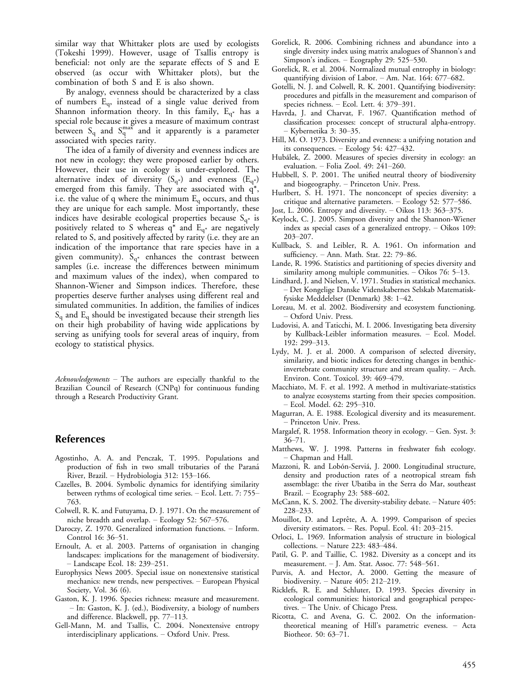similar way that Whittaker plots are used by ecologists (Tokeshi 1999). However, usage of Tsallis entropy is beneficial: not only are the separate effects of S and E observed (as occur with Whittaker plots), but the combination of both S and E is also shown.

By analogy, evenness should be characterized by a class of numbers  $E_q$ , instead of a single value derived from Shannon information theory. In this family,  $E_{q^*}$  has a special role because it gives a measure of maximum contrast between  $S_q$  and  $S_q^{\text{max}}$  and it apparently is a parameter associated with species rarity.

The idea of a family of diversity and evenness indices are not new in ecology; they were proposed earlier by others. However, their use in ecology is under-explored. The alternative index of diversity  $(S_{q^*})$  and evenness  $(E_{q^*})$ emerged from this family. They are associated with  $q^*$ , i.e. the value of q where the minimum  $E_q$  occurs, and thus they are unique for each sample. Most importantly, these indices have desirable ecological properties because  $S_{q*}$  is positively related to S whereas  $q^*$  and  $E_{q^*}$  are negatively related to S, and positively affected by rarity (i.e. they are an indication of the importance that rare species have in a given community).  $S_{q^*}$  enhances the contrast between samples (i.e. increase the differences between minimum and maximum values of the index), when compared to Shannon-Wiener and Simpson indices. Therefore, these properties deserve further analyses using different real and simulated communities. In addition, the families of indices  $S<sub>q</sub>$  and  $E<sub>q</sub>$  should be investigated because their strength lies on their high probability of having wide applications by serving as unifying tools for several areas of inquiry, from ecology to statistical physics.

 $Acknowledgements$  – The authors are especially thankful to the Brazilian Council of Research (CNPq) for continuous funding through a Research Productivity Grant.

### References

- Agostinho, A. A. and Penczak, T. 1995. Populations and production of fish in two small tributaries of the Parana´ River, Brazil. - Hydrobiologia 312: 153-166.
- Cazelles, B. 2004. Symbolic dynamics for identifying similarity between rythms of ecological time series. - Ecol. Lett. 7: 755-763.
- Colwell, R. K. and Futuyama, D. J. 1971. On the measurement of niche breadth and overlap.  $-$  Ecology 52: 567-576.
- Daroczy, Z. 1970. Generalized information functions. Inform. Control 16: 36-51.
- Ernoult, A. et al. 2003. Patterns of organisation in changing landscapes: implications for the management of biodiversity. - Landscape Ecol. 18: 239-251.
- Europhysics News 2005. Special issue on nonextensive statistical mechanics: new trends, new perspectives. European Physical Society, Vol. 36 (6).
- Gaston, K. J. 1996. Species richness: measure and measurement. - In: Gaston, K. J. (ed.), Biodiversity, a biology of numbers and difference. Blackwell, pp. 77-113.
- Gell-Mann, M. and Tsallis, C. 2004. Nonextensive entropy interdisciplinary applications. Oxford Univ. Press.
- Gorelick, R. 2006. Combining richness and abundance into a single diversity index using matrix analogues of Shannon's and Simpson's indices.  $-$  Ecography 29: 525–530.
- Gorelick, R. et al. 2004. Normalized mutual entrophy in biology: quantifying division of Labor. - Am. Nat. 164: 677-682.
- Gotelli, N. J. and Colwell, R. K. 2001. Quantifying biodiversity: procedures and pitfalls in the measurement and comparison of species richness.  $-$  Ecol. Lett. 4: 379-391.
- Havrda, J. and Charvat, F. 1967. Quantification method of classification processes: concept of structural alpha-entropy. Kybernetika 3: 30-35.
- Hill, M. O. 1973. Diversity and evenness: a unifying notation and its consequences. - Ecology 54: 427-432.
- Hubálek, Z. 2000. Measures of species diversity in ecology: an evaluation.  $-$  Folia Zool. 49: 241-260.
- Hubbell, S. P. 2001. The unified neutral theory of biodiversity and biogeography. - Princeton Univ. Press.
- Hurlbert, S. H. 1971. The nonconcept of species diversity: a critique and alternative parameters.  $-$  Ecology 52: 577-586.
- Jost, L. 2006. Entropy and diversity. Oikos 113: 363-375.
- Keylock, C. J. 2005. Simpson diversity and the Shannon-Wiener index as special cases of a generalized entropy.  $-$  Oikos 109: 203-207.
- Kullback, S. and Leibler, R. A. 1961. On information and sufficiency. - Ann. Math. Stat. 22: 79-86.
- Lande, R. 1996. Statistics and partitioning of species diversity and similarity among multiple communities.  $-$  Oikos 76: 5–13.
- Lindhard, J. and Nielsen, V. 1971. Studies in statistical mechanics. Det Kongelige Danske Videnskabernes Selskab Matematiskfysiske Meddelelser (Denmark) 38: 1-42.
- Loreau, M. et al. 2002. Biodiversity and ecosystem functioning. Oxford Univ. Press.
- Ludovisi, A. and Taticchi, M. I. 2006. Investigating beta diversity by Kullback-Leibler information measures. Ecol. Model. 192: 299-313.
- Lydy, M. J. et al. 2000. A comparison of selected diversity, similarity, and biotic indices for detecting changes in benthicinvertebrate community structure and stream quality. Arch. Environ. Cont. Toxicol. 39: 469-479.
- Macchiato, M. F. et al. 1992. A method in multivariate-statistics to analyze ecosystems starting from their species composition. – Ecol. Model. 62: 295–310.
- Magurran, A. E. 1988. Ecological diversity and its measurement. - Princeton Univ. Press.
- Margalef, R. 1958. Information theory in ecology. Gen. Syst. 3: 36-71.
- Matthews, W. J. 1998. Patterns in freshwater fish ecology. – Chapman and Hall.
- Mazzoni, R. and Lobón-Serviá, J. 2000. Longitudinal structure, density and production rates of a neotropical stream fish assemblage: the river Ubatiba in the Serra do Mar, southeast Brazil. - Ecography 23: 588-602.
- McCann, K. S. 2002. The diversity-stability debate. Nature 405: 228-233.
- Mouillot, D. and Leprête, A. A. 1999. Comparison of species diversity estimators.  $-$  Res. Popul. Ecol. 41: 203-215.
- Orloci, L. 1969. Information analysis of structure in biological collections. - Nature 223: 483-484.
- Patil, G. P. and Taillie, C. 1982. Diversity as a concept and its measurement. - J. Am. Stat. Assoc. 77: 548-561.
- Purvis, A. and Hector, A. 2000. Getting the measure of biodiversity.  $-$  Nature 405: 212-219.
- Ricklefs, R. E. and Schluter, D. 1993. Species diversity in ecological communities: historical and geographical perspectives. The Univ. of Chicago Press.
- Ricotta, C. and Avena, G. C. 2002. On the informationtheoretical meaning of Hill's parametric eveness. Acta Biotheor. 50: 63-71.